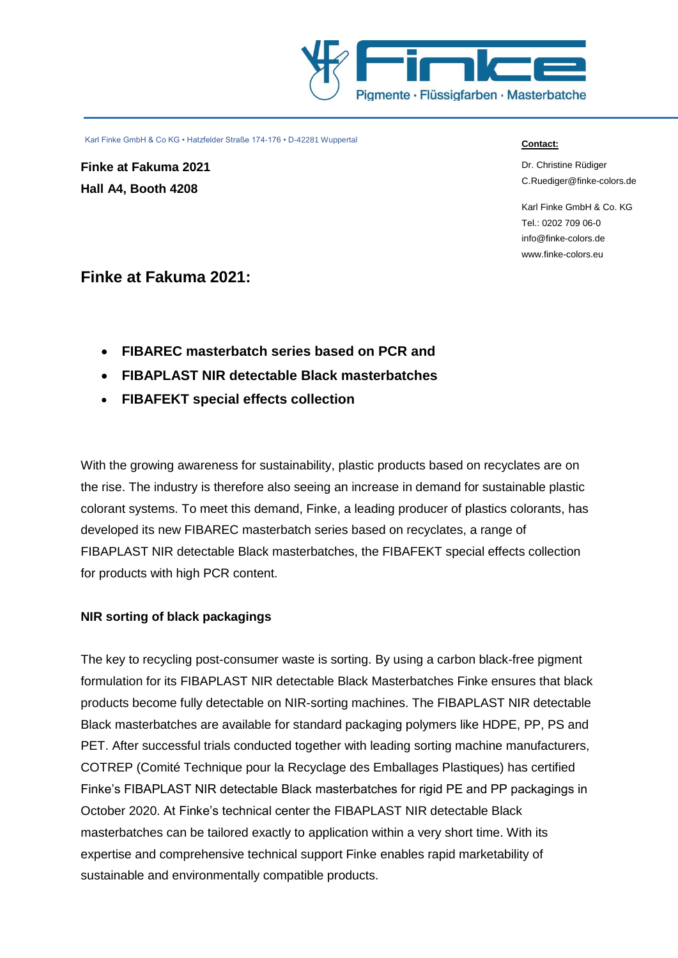

**Finke at Fakuma 2021 Hall A4, Booth 4208**

#### **Contact:**

Dr. Christine Rüdiger [C.Ruediger@finke-colors.de](mailto:C.Ruediger@finke-colors.de)

Karl Finke GmbH & Co. KG Tel.: 0202 709 06-0 [info@finke-colors.de](mailto:info@finke-colors.de) www.finke-colors.eu

# **Finke at Fakuma 2021:**

- **FIBAREC masterbatch series based on PCR and**
- **FIBAPLAST NIR detectable Black masterbatches**
- **FIBAFEKT special effects collection**

With the growing awareness for sustainability, plastic products based on recyclates are on the rise. The industry is therefore also seeing an increase in demand for sustainable plastic colorant systems. To meet this demand, Finke, a leading producer of plastics colorants, has developed its new FIBAREC masterbatch series based on recyclates, a range of FIBAPLAST NIR detectable Black masterbatches, the FIBAFEKT special effects collection for products with high PCR content.

# **NIR sorting of black packagings**

The key to recycling post-consumer waste is sorting. By using a carbon black-free pigment formulation for its FIBAPLAST NIR detectable Black Masterbatches Finke ensures that black products become fully detectable on NIR-sorting machines. The FIBAPLAST NIR detectable Black masterbatches are available for standard packaging polymers like HDPE, PP, PS and PET. After successful trials conducted together with leading sorting machine manufacturers, COTREP (Comité Technique pour la Recyclage des Emballages Plastiques) has certified Finke's FIBAPLAST NIR detectable Black masterbatches for rigid PE and PP packagings in October 2020. At Finke's technical center the FIBAPLAST NIR detectable Black masterbatches can be tailored exactly to application within a very short time. With its expertise and comprehensive technical support Finke enables rapid marketability of sustainable and environmentally compatible products.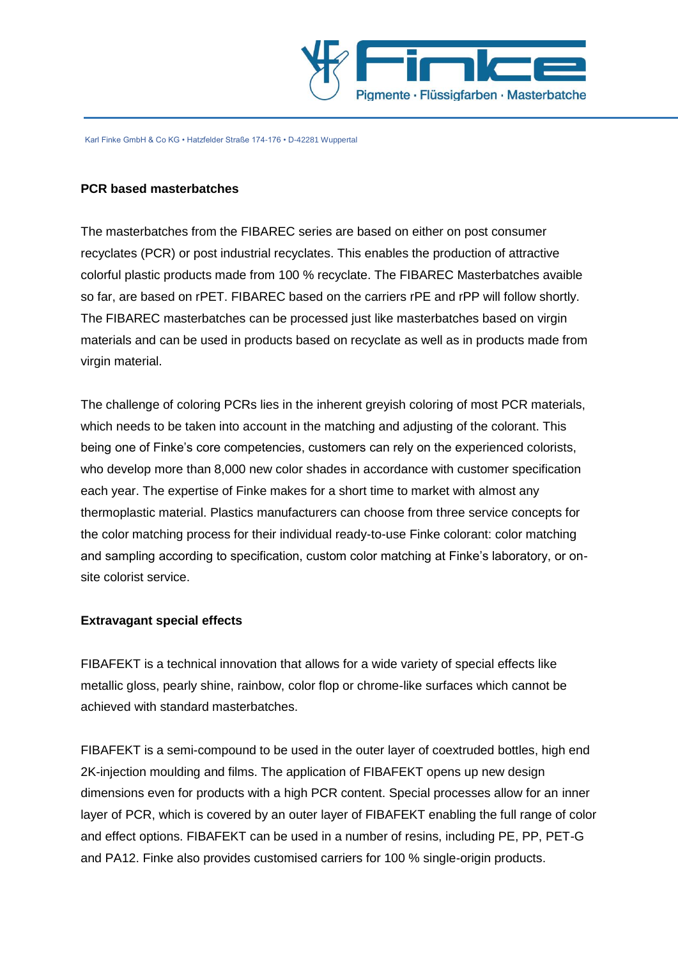

#### **PCR based masterbatches**

The masterbatches from the FIBAREC series are based on either on post consumer recyclates (PCR) or post industrial recyclates. This enables the production of attractive colorful plastic products made from 100 % recyclate. The FIBAREC Masterbatches avaible so far, are based on rPET. FIBAREC based on the carriers rPE and rPP will follow shortly. The FIBAREC masterbatches can be processed just like masterbatches based on virgin materials and can be used in products based on recyclate as well as in products made from virgin material.

The challenge of coloring PCRs lies in the inherent greyish coloring of most PCR materials, which needs to be taken into account in the matching and adjusting of the colorant. This being one of Finke's core competencies, customers can rely on the experienced colorists, who develop more than 8,000 new color shades in accordance with customer specification each year. The expertise of Finke makes for a short time to market with almost any thermoplastic material. Plastics manufacturers can choose from three service concepts for the color matching process for their individual ready-to-use Finke colorant: color matching and sampling according to specification, custom color matching at Finke's laboratory, or onsite colorist service.

## **Extravagant special effects**

FIBAFEKT is a technical innovation that allows for a wide variety of special effects like metallic gloss, pearly shine, rainbow, color flop or chrome-like surfaces which cannot be achieved with standard masterbatches.

FIBAFEKT is a semi-compound to be used in the outer layer of coextruded bottles, high end 2K-injection moulding and films. The application of FIBAFEKT opens up new design dimensions even for products with a high PCR content. Special processes allow for an inner layer of PCR, which is covered by an outer layer of FIBAFEKT enabling the full range of color and effect options. FIBAFEKT can be used in a number of resins, including PE, PP, PET-G and PA12. Finke also provides customised carriers for 100 % single-origin products.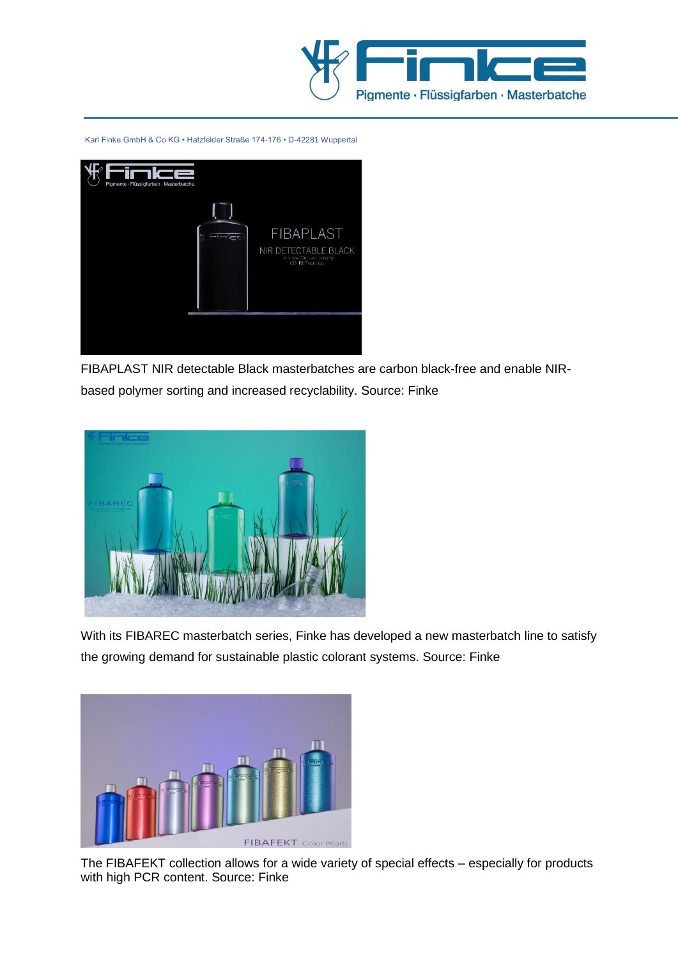



FIBAPLAST NIR detectable Black masterbatches are carbon black-free and enable NIRbased polymer sorting and increased recyclability. Source: Finke



With its FIBAREC masterbatch series, Finke has developed a new masterbatch line to satisfy the growing demand for sustainable plastic colorant systems. Source: Finke



The FIBAFEKT collection allows for a wide variety of special effects – especially for products with high PCR content. Source: Finke